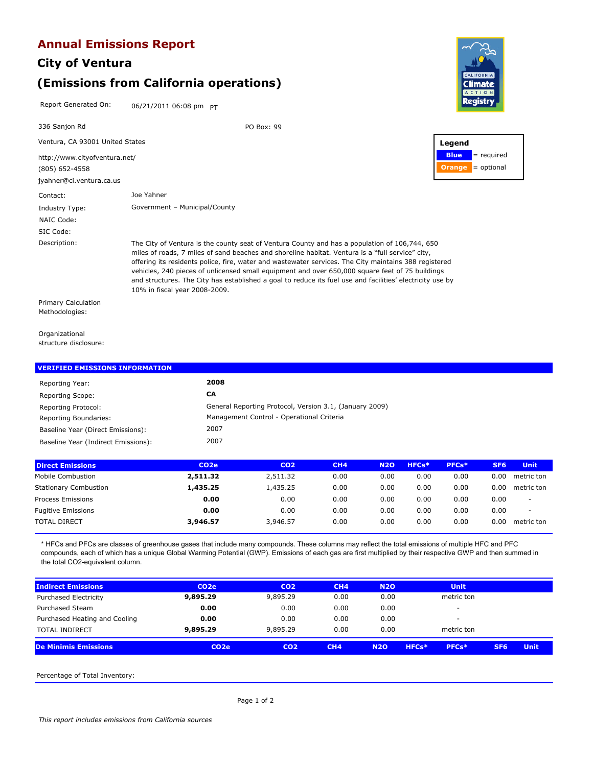### **Annual Emissions Report**

## **City of Ventura (Emissions from California operations)**

Report Generated On: 06/21/2011 06:08 pm PT



Organizational structure disclosure:

#### Reporting Scope: **CA** Reporting Year: **2008 VERIFIED EMISSIONS INFORMATION** Reporting Protocol: General Reporting Protocol, Version 3.1, (January 2009) 2007 Baseline Year (Indirect Emissions): 2007 Baseline Year (Direct Emissions): Reporting Boundaries: Management Control - Operational Criteria

| <b>Direct Emissions</b>      | CO <sub>2</sub> e | CO <sub>2</sub> | CH4  | <b>N2O</b> | HFCs* | PFCs* | SF <sub>6</sub> | <b>Unit</b>              |
|------------------------------|-------------------|-----------------|------|------------|-------|-------|-----------------|--------------------------|
| Mobile Combustion            | 2,511.32          | 2,511.32        | 0.00 | 0.00       | 0.00  | 0.00  | 0.00            | metric ton               |
| <b>Stationary Combustion</b> | 1,435.25          | 1,435.25        | 0.00 | 0.00       | 0.00  | 0.00  | 0.00            | metric ton               |
| Process Emissions            | 0.00              | 0.00            | 0.00 | 0.00       | 0.00  | 0.00  | 0.00            | -                        |
| <b>Fugitive Emissions</b>    | 0.00              | 0.00            | 0.00 | 0.00       | 0.00  | 0.00  | 0.00            | $\overline{\phantom{a}}$ |
| <b>TOTAL DIRECT</b>          | 3,946.57          | 3,946.57        | 0.00 | 0.00       | 0.00  | 0.00  | 0.00            | metric ton               |
|                              |                   |                 |      |            |       |       |                 |                          |

\* HFCs and PFCs are classes of greenhouse gases that include many compounds. These columns may reflect the total emissions of multiple HFC and PFC compounds, each of which has a unique Global Warming Potential (GWP). Emissions of each gas are first multiplied by their respective GWP and then summed in the total CO2-equivalent column.

| <b>Indirect Emissions</b>     | CO <sub>2</sub> e | CO <sub>2</sub> | CH4  | <b>N2O</b> | <b>Unit</b>    |                 |             |
|-------------------------------|-------------------|-----------------|------|------------|----------------|-----------------|-------------|
| Purchased Electricity         | 9,895.29          | 9,895.29        | 0.00 | 0.00       | metric ton     |                 |             |
| <b>Purchased Steam</b>        | 0.00              | 0.00            | 0.00 | 0.00       |                |                 |             |
| Purchased Heating and Cooling | 0.00              | 0.00            | 0.00 | 0.00       | -              |                 |             |
| <b>TOTAL INDIRECT</b>         | 9,895.29          | 9,895.29        | 0.00 | 0.00       | metric ton     |                 |             |
| <b>De Minimis Emissions</b>   | CO <sub>2</sub> e | CO <sub>2</sub> | CH4  | <b>N2O</b> | PFCs*<br>HFCs* | SF <sub>6</sub> | <b>Unit</b> |

Percentage of Total Inventory: